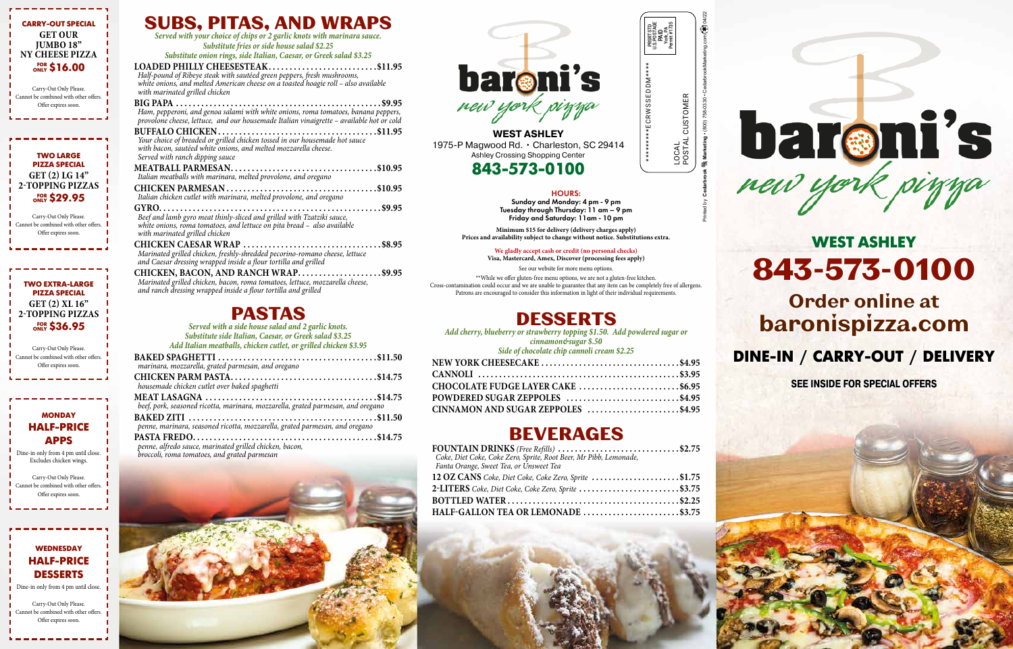### DESSERTS

*Add cherry, blueberry or strawberry topping \$1.50. Add powdered sugar or* 

*cinnamon&sugar \$.50*

| Side of chocolate chip cannoli cream \$2.25 |  |
|---------------------------------------------|--|
| NEW YORK CHEESECAKE \$4.95                  |  |
|                                             |  |
| CHOCOLATE FUDGE LAYER CAKE \$6.95           |  |
| POWDERED SUGAR ZEPPOLES \$4.95              |  |
| CINNAMON AND SUGAR ZEPPOLES \$4.95          |  |

### BEVERAGES

| FOUNTAIN DRINKS (Free Refills) \$2.75<br>Coke, Diet Coke, Coke Zero, Sprite, Root Beer, Mr Pibb, Lemonade,<br>Fanta Orange, Sweet Tea, or Unsweet Tea |  |
|-------------------------------------------------------------------------------------------------------------------------------------------------------|--|
| 12 OZ CANS Coke, Diet Coke, Coke Zero, Sprite \$1.75                                                                                                  |  |
|                                                                                                                                                       |  |
|                                                                                                                                                       |  |
|                                                                                                                                                       |  |





**WEST ASHLEY** 1975-P Magwood Rd. • Charleston, SC 29414 Ashley Crossing Shopping Center

### 843-573-0100

### SUBS, PITAS, AND WRAPS

*Served with your choice of chips or 2 garlic knots with marinara sauce. Substitute fries or side house salad \$2.25 Substitute onion rings, side Italian, Caesar, or Greek salad \$3.25*

**LOADED PHILLY CHEESESTEAK . . . . . . . . . . . . . . . . . . . . . . . . . \$11.95** *Half-pound of Ribeye steak with sautéed green peppers, fresh mushrooms, white onions, and melted American cheese on a toasted hoagie roll – also available with marinated grilled chicken*

**BIG PAPA . . . . . . . . . . . . . . . . . . . . . . . . . . . . . . . . . . . . . . . . . . . . . . . . \$9.95** *Ham, pepperoni, and genoa salami with white onions, roma tomatoes, banana peppers, provolone cheese, lettuce, and our housemade Italian vinaigrette – available hot or cold*

**BUFFALO CHICKEN . . . . . . . . . . . . . . . . . . . . . . . . . . . . . . . . . . . . . \$11.95** *Your choice of breaded or grilled chicken tossed in our housemade hot sauce with bacon, sautéed white onions, and melted mozzarella cheese. Served with ranch dipping sauce*

**MEATBALL PARMESAN . . . . . . . . . . . . . . . . . . . . . . . . . . . . . . . . . . \$10.95** *Italian meatballs with marinara, melted provolone, and oregano*

> \*\*While we offer gluten-free menu options, we are not a gluten-free kitchen. Cross-contamination could occur and we are unable to guarantee that any item can be completely free of allergens. Patrons are encouraged to consider this information in light of their individual requirements.

**CHICKEN PARMESAN . . . . . . . . . . . . . . . . . . . . . . . . . . . . . . . . . . . \$10.95** *Italian chicken cutlet with marinara, melted provolone, and oregano*

LOCAL<br>POSTAL CUSTOMER POSTAL CUSTOMER PAID York, PA Permit #1735

**GYRO..................................................... \$9.95** *Beef and lamb gyro meat thinly-sliced and grilled with Tzatziki sauce, white onions, roma tomatoes, and lettuce on pita bread – also available* 

#### **MONDAY** HALF-PRICE APPS

*with marinated grilled chicken* **CHICKEN CAESAR WRAP . . . . . . . . . . . . . . . . . . . . . . . . . . . . . . . . \$8.95** *Marinated grilled chicken, freshly-shredded pecorino-romano cheese, lettuce and Caesar dressing wrapped inside a flour tortilla and grilled*

#### **WEDNESDAY** HALF-PRICE DESSERTS

**CHICKEN, BACON, AND RANCH WRAP . . . . . . . . . . . . . . . . . . . \$9.95** *Marinated grilled chicken, bacon, roma tomatoes, lettuce, mozzarella cheese, and ranch dressing wrapped inside a flour tortilla and grilled*

### PASTAS

*Served with a side house salad and 2 garlic knots. Substitute side Italian, Caesar, or Greek salad \$3.25 Add Italian meatballs, chicken cutlet, or grilled chicken \$3.95*

| marinara, mozzarella, grated parmesan, and oregano                               |  |
|----------------------------------------------------------------------------------|--|
|                                                                                  |  |
| housemade chicken cutlet over baked spaghetti                                    |  |
| beef, pork, seasoned ricotta, marinara, mozzarella, grated parmesan, and oregano |  |
|                                                                                  |  |
| penne, marinara, seasoned ricotta, mozzarella, grated parmesan, and oregano      |  |
|                                                                                  |  |

*penne, alfredo sauce, marinated grilled chicken, bacon, broccoli, roma tomatoes, and grated parmesan*



# WEST ASHLEY 843-573-0100

## Order online at baronispizza.com

### DINE-IN / CARRY-OUT / DELIVERY

**SEE INSIDE FOR SPECIAL OFFERS**

#### HOURS:

Sunday and Monday: 4 pm - 9 pm Tuesday through Thursday: 11 am – 9 pm Friday and Saturday: 11am - 10 pm

**Minimum \$15 for delivery (delivery charges apply) Prices and availability subject to change without notice. Substitutions extra.**

#### **We gladly accept cash or credit (no personal checks)**

**Visa, Mastercard, Amex, Discover (processing fees apply)** See our website for more menu options.

Printed by **Cedarbrook Marketing** • (800) 758-0330 • CedarbrookMarketing.com 04/22

\*\*\*\*\*\*\*\*\*ECRWSSEDDM\*\*\*\*

PRSRT STD U.S.POSTAGE



#### PIZZA SPECIAL **GET (2) LG 14" 2-TOPPING PIZZAS** FOR ONLY \$29.95

Carry-Out Only Please. Cannot be combined with other offers. Offer expires soon.

Dine-in only from 4 pm until close. Excludes chicken wings.

Carry-Out Only Please. Cannot be combined with other offers. Offer expires soon.

TWO EXTRA-LARGE PIZZA SPECIAL **GET (2) XL 16" 2-TOPPING PIZZAS** FOR ONLY \$36.95

Carry-Out Only Please. Cannot be combined with other offers. Offer expires soon.

Dine-in only from 4 pm until close.

Carry-Out Only Please. Cannot be combined with other offers. Offer expires soon.